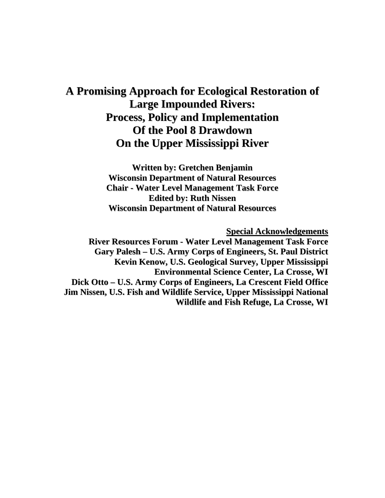# **A Promising Approach for Ecological Restoration of Large Impounded Rivers: Process, Policy and Implementation Of the Pool 8 Drawdown On the Upper Mississippi River**

**Written by: Gretchen Benjamin Wisconsin Department of Natural Resources Chair - Water Level Management Task Force Edited by: Ruth Nissen Wisconsin Department of Natural Resources**

**Special Acknowledgements**

**River Resources Forum - Water Level Management Task Force Gary Palesh – U.S. Army Corps of Engineers, St. Paul District Kevin Kenow, U.S. Geological Survey, Upper Mississippi Environmental Science Center, La Crosse, WI Dick Otto – U.S. Army Corps of Engineers, La Crescent Field Office Jim Nissen, U.S. Fish and Wildlife Service, Upper Mississippi National Wildlife and Fish Refuge, La Crosse, WI**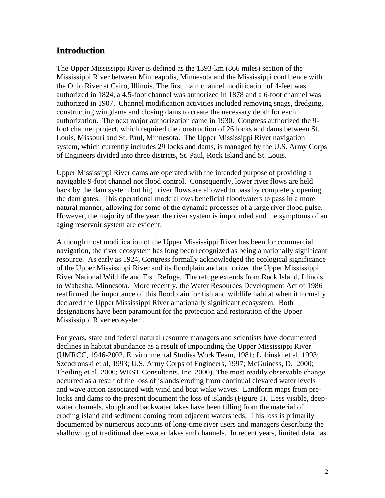# **Introduction**

The Upper Mississippi River is defined as the 1393-km (866 miles) section of the Mississippi River between Minneapolis, Minnesota and the Mississippi confluence with the Ohio River at Cairo, Illinois. The first main channel modification of 4-feet was authorized in 1824, a 4.5-foot channel was authorized in 1878 and a 6-foot channel was authorized in 1907. Channel modification activities included removing snags, dredging, constructing wingdams and closing dams to create the necessary depth for each authorization. The next major authorization came in 1930. Congress authorized the 9 foot channel project, which required the construction of 26 locks and dams between St. Louis, Missouri and St. Paul, Minnesota. The Upper Mississippi River navigation system, which currently includes 29 locks and dams, is managed by the U.S. Army Corps of Engineers divided into three districts, St. Paul, Rock Island and St. Louis.

Upper Mississippi River dams are operated with the intended purpose of providing a navigable 9-foot channel not flood control. Consequently, lower river flows are held back by the dam system but high river flows are allowed to pass by completely opening the dam gates. This operational mode allows beneficial floodwaters to pass in a more natural manner, allowing for some of the dynamic processes of a large river flood pulse. However, the majority of the year, the river system is impounded and the symptoms of an aging reservoir system are evident.

Although most modification of the Upper Mississippi River has been for commercial navigation, the river ecosystem has long been recognized as being a nationally significant resource. As early as 1924, Congress formally acknowledged the ecological significance of the Upper Mississippi River and its floodplain and authorized the Upper Mississippi River National Wildlife and Fish Refuge. The refuge extends from Rock Island, Illinois, to Wabasha, Minnesota. More recently, the Water Resources Development Act of 1986 reaffirmed the importance of this floodplain for fish and wildlife habitat when it formally declared the Upper Mississippi River a nationally significant ecosystem. Both designations have been paramount for the protection and restoration of the Upper Mississippi River ecosystem.

For years, state and federal natural resource managers and scientists have documented declines in habitat abundance as a result of impounding the Upper Mississippi River (UMRCC, 1946-2002, Environmental Studies Work Team, 1981; Lubinski et al, 1993; Szcodronski et al, 1993; U.S. Army Corps of Engineers, 1997; McGuiness, D. 2000; Theiling et al, 2000; WEST Consultants, Inc. 2000). The most readily observable change occurred as a result of the loss of islands eroding from continual elevated water levels and wave action associated with wind and boat wake waves. Landform maps from prelocks and dams to the present document the loss of islands (Figure 1). Less visible, deepwater channels, slough and backwater lakes have been filling from the material of eroding island and sediment coming from adjacent watersheds. This loss is primarily documented by numerous accounts of long-time river users and managers describing the shallowing of traditional deep-water lakes and channels. In recent years, limited data has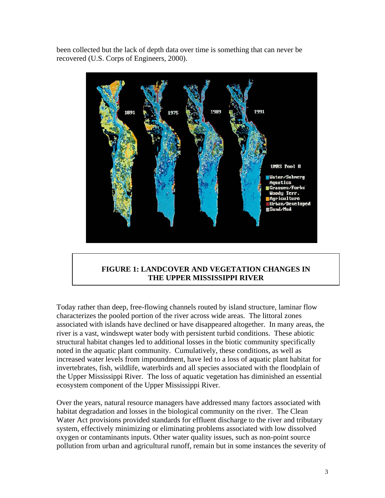been collected but the lack of depth data over time is something that can never be recovered (U.S. Corps of Engineers, 2000).



# **FIGURE 1: LANDCOVER AND VEGETATION CHANGES IN THE UPPER MISSISSIPPI RIVER**

Today rather than deep, free-flowing channels routed by island structure, laminar flow characterizes the pooled portion of the river across wide areas. The littoral zones associated with islands have declined or have disappeared altogether. In many areas, the river is a vast, windswept water body with persistent turbid conditions. These abiotic structural habitat changes led to additional losses in the biotic community specifically noted in the aquatic plant community. Cumulatively, these conditions, as well as increased water levels from impoundment, have led to a loss of aquatic plant habitat for invertebrates, fish, wildlife, waterbirds and all species associated with the floodplain of the Upper Mississippi River. The loss of aquatic vegetation has diminished an essential ecosystem component of the Upper Mississippi River.

Over the years, natural resource managers have addressed many factors associated with habitat degradation and losses in the biological community on the river. The Clean Water Act provisions provided standards for effluent discharge to the river and tributary system, effectively minimizing or eliminating problems associated with low dissolved oxygen or contaminants inputs. Other water quality issues, such as non-point source pollution from urban and agricultural runoff, remain but in some instances the severity of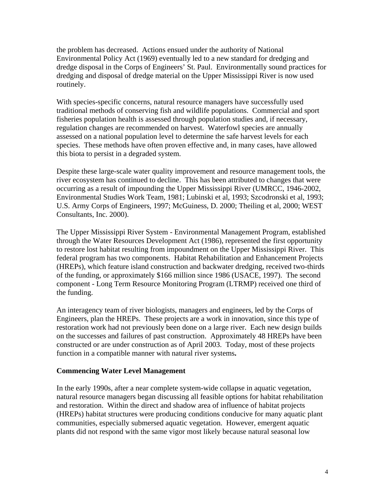the problem has decreased. Actions ensued under the authority of National Environmental Policy Act (1969) eventually led to a new standard for dredging and dredge disposal in the Corps of Engineers' St. Paul. Environmentally sound practices for dredging and disposal of dredge material on the Upper Mississippi River is now used routinely.

With species-specific concerns, natural resource managers have successfully used traditional methods of conserving fish and wildlife populations. Commercial and sport fisheries population health is assessed through population studies and, if necessary, regulation changes are recommended on harvest. Waterfowl species are annually assessed on a national population level to determine the safe harvest levels for each species. These methods have often proven effective and, in many cases, have allowed this biota to persist in a degraded system.

Despite these large-scale water quality improvement and resource management tools, the river ecosystem has continued to decline. This has been attributed to changes that were occurring as a result of impounding the Upper Mississippi River (UMRCC, 1946-2002, Environmental Studies Work Team, 1981; Lubinski et al, 1993; Szcodronski et al, 1993; U.S. Army Corps of Engineers, 1997; McGuiness, D. 2000; Theiling et al, 2000; WEST Consultants, Inc. 2000).

The Upper Mississippi River System - Environmental Management Program, established through the Water Resources Development Act (1986), represented the first opportunity to restore lost habitat resulting from impoundment on the Upper Mississippi River. This federal program has two components. Habitat Rehabilitation and Enhancement Projects (HREPs), which feature island construction and backwater dredging, received two-thirds of the funding, or approximately \$166 million since 1986 (USACE, 1997). The second component - Long Term Resource Monitoring Program (LTRMP) received one third of the funding.

An interagency team of river biologists, managers and engineers, led by the Corps of Engineers, plan the HREPs. These projects are a work in innovation, since this type of restoration work had not previously been done on a large river. Each new design builds on the successes and failures of past construction.Approximately 48 HREPs have been constructed or are under construction as of April 2003.Today, most of these projects function in a compatible manner with natural river systems**.**

#### **Commencing Water Level Management**

In the early 1990s, after a near complete system-wide collapse in aquatic vegetation, natural resource managers began discussing all feasible options for habitat rehabilitation and restoration. Within the direct and shadow area of influence of habitat projects (HREPs) habitat structures were producing conditions conducive for many aquatic plant communities, especially submersed aquatic vegetation. However, emergent aquatic plants did not respond with the same vigor most likely because natural seasonal low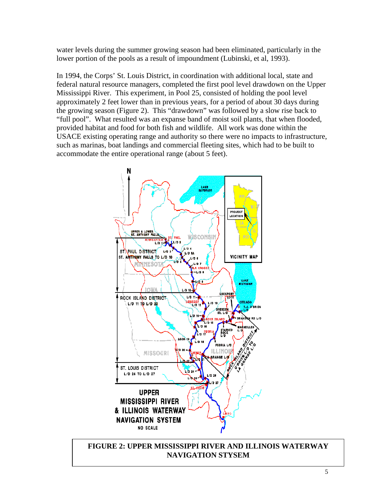water levels during the summer growing season had been eliminated, particularly in the lower portion of the pools as a result of impoundment (Lubinski, et al, 1993).

In 1994, the Corps' St. Louis District, in coordination with additional local, state and federal natural resource managers, completed the first pool level drawdown on the Upper Mississippi River. This experiment, in Pool 25, consisted of holding the pool level approximately 2 feet lower than in previous years, for a period of about 30 days during the growing season (Figure 2). This "drawdown" was followed by a slow rise back to "full pool". What resulted was an expanse band of moist soil plants, that when flooded, provided habitat and food for both fish and wildlife. All work was done within the USACE existing operating range and authority so there were no impacts to infrastructure, such as marinas, boat landings and commercial fleeting sites, which had to be built to accommodate the entire operational range (about 5 feet).



**FIGURE 2: UPPER MISSISSIPPI RIVER AND ILLINOIS WATERWAY NAVIGATION STYSEM**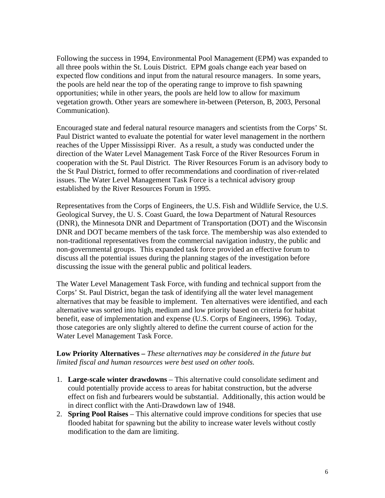Following the success in 1994, Environmental Pool Management (EPM) was expanded to all three pools within the St. Louis District. EPM goals change each year based on expected flow conditions and input from the natural resource managers. In some years, the pools are held near the top of the operating range to improve to fish spawning opportunities; while in other years, the pools are held low to allow for maximum vegetation growth. Other years are somewhere in-between (Peterson, B, 2003, Personal Communication).

Encouraged state and federal natural resource managers and scientists from the Corps' St. Paul District wanted to evaluate the potential for water level management in the northern reaches of the Upper Mississippi River. As a result, a study was conducted under the direction of the Water Level Management Task Force of the River Resources Forum in cooperation with the St. Paul District. The River Resources Forum is an advisory body to the St Paul District, formed to offer recommendations and coordination of river-related issues. The Water Level Management Task Force is a technical advisory group established by the River Resources Forum in 1995.

Representatives from the Corps of Engineers, the U.S. Fish and Wildlife Service, the U.S. Geological Survey, the U. S. Coast Guard, the Iowa Department of Natural Resources (DNR), the Minnesota DNR and Department of Transportation (DOT) and the Wisconsin DNR and DOT became members of the task force. The membership was also extended to non-traditional representatives from the commercial navigation industry, the public and non-governmental groups. This expanded task force provided an effective forum to discuss all the potential issues during the planning stages of the investigation before discussing the issue with the general public and political leaders.

The Water Level Management Task Force, with funding and technical support from the Corps' St. Paul District, began the task of identifying all the water level management alternatives that may be feasible to implement. Ten alternatives were identified, and each alternative was sorted into high, medium and low priority based on criteria for habitat benefit, ease of implementation and expense (U.S. Corps of Engineers, 1996). Today, those categories are only slightly altered to define the current course of action for the Water Level Management Task Force.

**Low Priority Alternatives –** *These alternatives may be considered in the future but limited fiscal and human resources were best used on other tools.* 

- 1. **Large-scale winter drawdowns** This alternative could consolidate sediment and could potentially provide access to areas for habitat construction, but the adverse effect on fish and furbearers would be substantial. Additionally, this action would be in direct conflict with the Anti-Drawdown law of 1948.
- 2. **Spring Pool Raises** This alternative could improve conditions for species that use flooded habitat for spawning but the ability to increase water levels without costly modification to the dam are limiting.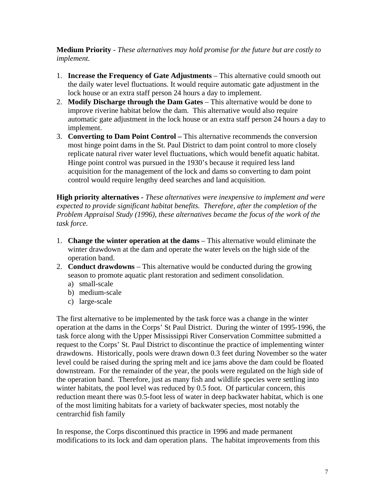**Medium Priority** - *These alternatives may hold promise for the future but are costly to implement.* 

- 1. **Increase the Frequency of Gate Adjustments** This alternative could smooth out the daily water level fluctuations. It would require automatic gate adjustment in the lock house or an extra staff person 24 hours a day to implement.
- 2. **Modify Discharge through the Dam Gates** This alternative would be done to improve riverine habitat below the dam. This alternative would also require automatic gate adjustment in the lock house or an extra staff person 24 hours a day to implement.
- 3. **Converting to Dam Point Control** This alternative recommends the conversion most hinge point dams in the St. Paul District to dam point control to more closely replicate natural river water level fluctuations, which would benefit aquatic habitat. Hinge point control was pursued in the 1930's because it required less land acquisition for the management of the lock and dams so converting to dam point control would require lengthy deed searches and land acquisition.

**High priority alternatives -** *These alternatives were inexpensive to implement and were expected to provide significant habitat benefits. Therefore, after the completion of the Problem Appraisal Study (1996), these alternatives became the focus of the work of the task force.*

- 1. **Change the winter operation at the dams** This alternative would eliminate the winter drawdown at the dam and operate the water levels on the high side of the operation band.
- 2. **Conduct drawdowns** This alternative would be conducted during the growing season to promote aquatic plant restoration and sediment consolidation.
	- a) small-scale
	- b) medium-scale
	- c) large-scale

The first alternative to be implemented by the task force was a change in the winter operation at the dams in the Corps' St Paul District. During the winter of 1995-1996, the task force along with the Upper Mississippi River Conservation Committee submitted a request to the Corps' St. Paul District to discontinue the practice of implementing winter drawdowns. Historically, pools were drawn down 0.3 feet during November so the water level could be raised during the spring melt and ice jams above the dam could be floated downstream. For the remainder of the year, the pools were regulated on the high side of the operation band. Therefore, just as many fish and wildlife species were settling into winter habitats, the pool level was reduced by 0.5 foot. Of particular concern, this reduction meant there was 0.5-foot less of water in deep backwater habitat, which is one of the most limiting habitats for a variety of backwater species, most notably the centrarchid fish family

In response, the Corps discontinued this practice in 1996 and made permanent modifications to its lock and dam operation plans. The habitat improvements from this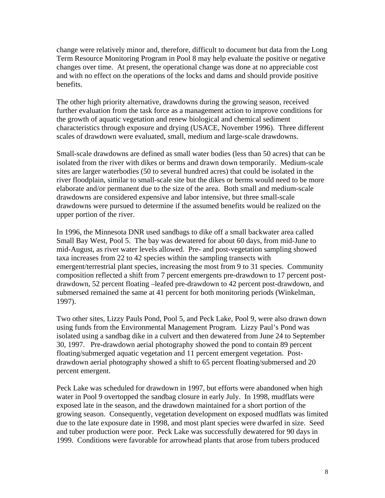change were relatively minor and, therefore, difficult to document but data from the Long Term Resource Monitoring Program in Pool 8 may help evaluate the positive or negative changes over time. At present, the operational change was done at no appreciable cost and with no effect on the operations of the locks and dams and should provide positive benefits.

The other high priority alternative, drawdowns during the growing season, received further evaluation from the task force as a management action to improve conditions for the growth of aquatic vegetation and renew biological and chemical sediment characteristics through exposure and drying (USACE, November 1996). Three different scales of drawdown were evaluated, small, medium and large-scale drawdowns.

Small-scale drawdowns are defined as small water bodies (less than 50 acres) that can be isolated from the river with dikes or berms and drawn down temporarily. Medium-scale sites are larger waterbodies (50 to several hundred acres) that could be isolated in the river floodplain, similar to small-scale site but the dikes or berms would need to be more elaborate and/or permanent due to the size of the area. Both small and medium-scale drawdowns are considered expensive and labor intensive, but three small-scale drawdowns were pursued to determine if the assumed benefits would be realized on the upper portion of the river.

In 1996, the Minnesota DNR used sandbags to dike off a small backwater area called Small Bay West, Pool 5. The bay was dewatered for about 60 days, from mid-June to mid-August, as river water levels allowed. Pre- and post-vegetation sampling showed taxa increases from 22 to 42 species within the sampling transects with emergent/terrestrial plant species, increasing the most from 9 to 31 species. Community composition reflected a shift from 7 percent emergents pre-drawdown to 17 percent postdrawdown, 52 percent floating –leafed pre-drawdown to 42 percent post-drawdown, and submersed remained the same at 41 percent for both monitoring periods (Winkelman, 1997).

Two other sites, Lizzy Pauls Pond, Pool 5, and Peck Lake, Pool 9, were also drawn down using funds from the Environmental Management Program. Lizzy Paul's Pond was isolated using a sandbag dike in a culvert and then dewatered from June 24 to September 30, 1997. Pre-drawdown aerial photography showed the pond to contain 89 percent floating/submerged aquatic vegetation and 11 percent emergent vegetation. Postdrawdown aerial photography showed a shift to 65 percent floating/submersed and 20 percent emergent.

Peck Lake was scheduled for drawdown in 1997, but efforts were abandoned when high water in Pool 9 overtopped the sandbag closure in early July. In 1998, mudflats were exposed late in the season, and the drawdown maintained for a short portion of the growing season. Consequently, vegetation development on exposed mudflats was limited due to the late exposure date in 1998, and most plant species were dwarfed in size. Seed and tuber production were poor. Peck Lake was successfully dewatered for 90 days in 1999. Conditions were favorable for arrowhead plants that arose from tubers produced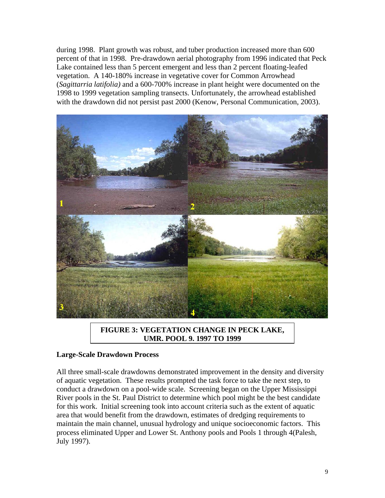during 1998. Plant growth was robust, and tuber production increased more than 600 percent of that in 1998. Pre-drawdown aerial photography from 1996 indicated that Peck Lake contained less than 5 percent emergent and less than 2 percent floating-leafed vegetation. A 140-180% increase in vegetative cover for Common Arrowhead (*Sagittarria latifolia)* and a 600-700% increase in plant height were documented on the 1998 to 1999 vegetation sampling transects. Unfortunately, the arrowhead established with the drawdown did not persist past 2000 (Kenow, Personal Communication, 2003).



**FIGURE 3: VEGETATION CHANGE IN PECK LAKE, UMR, POOL 9, 1997 TO 1999**

#### **Large-Scale Drawdown Process**

All three small-scale drawdowns demonstrated improvement in the density and diversity of aquatic vegetation. These results prompted the task force to take the next step, to conduct a drawdown on a pool-wide scale. Screening began on the Upper Mississippi River pools in the St. Paul District to determine which pool might be the best candidate for this work. Initial screening took into account criteria such as the extent of aquatic area that would benefit from the drawdown, estimates of dredging requirements to maintain the main channel, unusual hydrology and unique socioeconomic factors. This process eliminated Upper and Lower St. Anthony pools and Pools 1 through 4(Palesh, July 1997).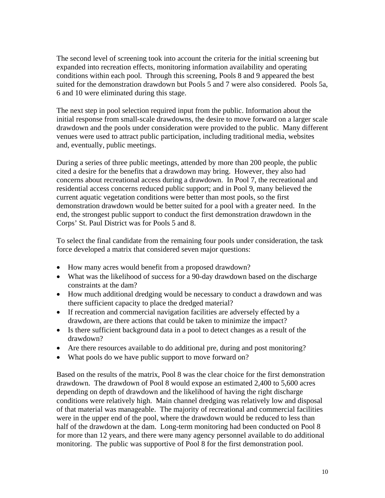The second level of screening took into account the criteria for the initial screening but expanded into recreation effects, monitoring information availability and operating conditions within each pool. Through this screening, Pools 8 and 9 appeared the best suited for the demonstration drawdown but Pools 5 and 7 were also considered. Pools 5a, 6 and 10 were eliminated during this stage.

The next step in pool selection required input from the public. Information about the initial response from small-scale drawdowns, the desire to move forward on a larger scale drawdown and the pools under consideration were provided to the public. Many different venues were used to attract public participation, including traditional media, websites and, eventually, public meetings.

During a series of three public meetings, attended by more than 200 people, the public cited a desire for the benefits that a drawdown may bring. However, they also had concerns about recreational access during a drawdown. In Pool 7, the recreational and residential access concerns reduced public support; and in Pool 9, many believed the current aquatic vegetation conditions were better than most pools, so the first demonstration drawdown would be better suited for a pool with a greater need. In the end, the strongest public support to conduct the first demonstration drawdown in the Corps' St. Paul District was for Pools 5 and 8.

To select the final candidate from the remaining four pools under consideration, the task force developed a matrix that considered seven major questions:

- How many acres would benefit from a proposed drawdown?
- What was the likelihood of success for a 90-day drawdown based on the discharge constraints at the dam?
- How much additional dredging would be necessary to conduct a drawdown and was there sufficient capacity to place the dredged material?
- If recreation and commercial navigation facilities are adversely effected by a drawdown, are there actions that could be taken to minimize the impact?
- Is there sufficient background data in a pool to detect changes as a result of the drawdown?
- Are there resources available to do additional pre, during and post monitoring?
- What pools do we have public support to move forward on?

Based on the results of the matrix, Pool 8 was the clear choice for the first demonstration drawdown. The drawdown of Pool 8 would expose an estimated 2,400 to 5,600 acres depending on depth of drawdown and the likelihood of having the right discharge conditions were relatively high. Main channel dredging was relatively low and disposal of that material was manageable. The majority of recreational and commercial facilities were in the upper end of the pool, where the drawdown would be reduced to less than half of the drawdown at the dam. Long-term monitoring had been conducted on Pool 8 for more than 12 years, and there were many agency personnel available to do additional monitoring. The public was supportive of Pool 8 for the first demonstration pool.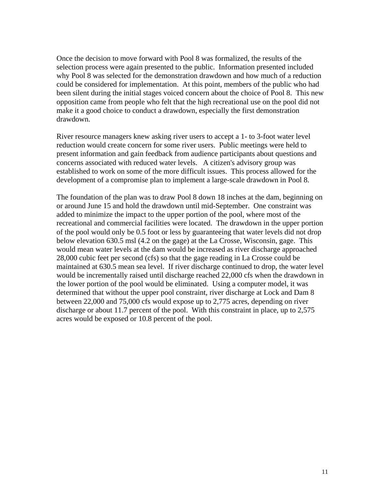Once the decision to move forward with Pool 8 was formalized, the results of the selection process were again presented to the public. Information presented included why Pool 8 was selected for the demonstration drawdown and how much of a reduction could be considered for implementation. At this point, members of the public who had been silent during the initial stages voiced concern about the choice of Pool 8. This new opposition came from people who felt that the high recreational use on the pool did not make it a good choice to conduct a drawdown, especially the first demonstration drawdown.

River resource managers knew asking river users to accept a 1- to 3-foot water level reduction would create concern for some river users. Public meetings were held to present information and gain feedback from audience participants about questions and concerns associated with reduced water levels. A citizen's advisory group was established to work on some of the more difficult issues. This process allowed for the development of a compromise plan to implement a large-scale drawdown in Pool 8.

The foundation of the plan was to draw Pool 8 down 18 inches at the dam, beginning on or around June 15 and hold the drawdown until mid-September. One constraint was added to minimize the impact to the upper portion of the pool, where most of the recreational and commercial facilities were located. The drawdown in the upper portion of the pool would only be 0.5 foot or less by guaranteeing that water levels did not drop below elevation 630.5 msl (4.2 on the gage) at the La Crosse, Wisconsin, gage. This would mean water levels at the dam would be increased as river discharge approached 28,000 cubic feet per second (cfs) so that the gage reading in La Crosse could be maintained at 630.5 mean sea level. If river discharge continued to drop, the water level would be incrementally raised until discharge reached 22,000 cfs when the drawdown in the lower portion of the pool would be eliminated. Using a computer model, it was determined that without the upper pool constraint, river discharge at Lock and Dam 8 between 22,000 and 75,000 cfs would expose up to 2,775 acres, depending on river discharge or about 11.7 percent of the pool. With this constraint in place, up to 2,575 acres would be exposed or 10.8 percent of the pool.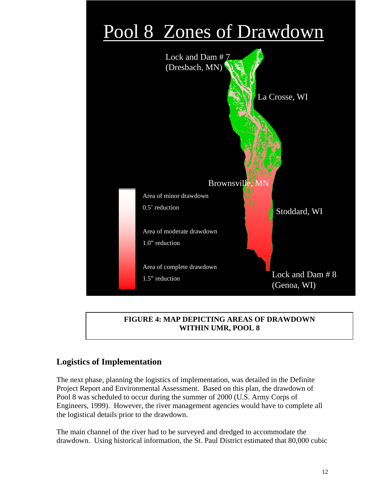# Pool 8 Zones of Drawdown



# **FIGURE 4: MAP DEPICTING AREAS OF DRAWDOWN WITHIN UMR, POOL 8**

# **Logistics of Implementation**

The next phase, planning the logistics of implementation, was detailed in the Definite Project Report and Environmental Assessment. Based on this plan, the drawdown of Pool 8 was scheduled to occur during the summer of 2000 (U.S. Army Corps of Engineers, 1999). However, the river management agencies would have to complete all the logistical details prior to the drawdown.

The main channel of the river had to be surveyed and dredged to accommodate the drawdown. Using historical information, the St. Paul District estimated that 80,000 cubic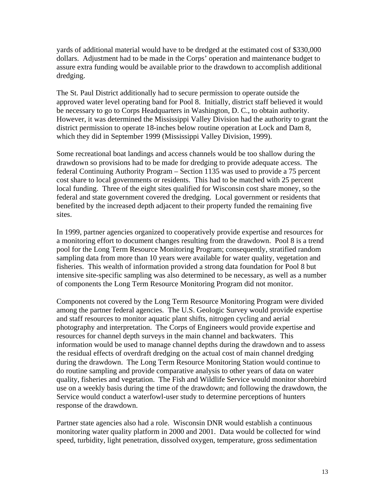yards of additional material would have to be dredged at the estimated cost of \$330,000 dollars. Adjustment had to be made in the Corps' operation and maintenance budget to assure extra funding would be available prior to the drawdown to accomplish additional dredging.

The St. Paul District additionally had to secure permission to operate outside the approved water level operating band for Pool 8. Initially, district staff believed it would be necessary to go to Corps Headquarters in Washington, D. C., to obtain authority. However, it was determined the Mississippi Valley Division had the authority to grant the district permission to operate 18-inches below routine operation at Lock and Dam 8, which they did in September 1999 (Mississippi Valley Division, 1999).

Some recreational boat landings and access channels would be too shallow during the drawdown so provisions had to be made for dredging to provide adequate access. The federal Continuing Authority Program – Section 1135 was used to provide a 75 percent cost share to local governments or residents. This had to be matched with 25 percent local funding. Three of the eight sites qualified for Wisconsin cost share money, so the federal and state government covered the dredging. Local government or residents that benefited by the increased depth adjacent to their property funded the remaining five sites.

In 1999, partner agencies organized to cooperatively provide expertise and resources for a monitoring effort to document changes resulting from the drawdown. Pool 8 is a trend pool for the Long Term Resource Monitoring Program; consequently, stratified random sampling data from more than 10 years were available for water quality, vegetation and fisheries. This wealth of information provided a strong data foundation for Pool 8 but intensive site-specific sampling was also determined to be necessary, as well as a number of components the Long Term Resource Monitoring Program did not monitor.

Components not covered by the Long Term Resource Monitoring Program were divided among the partner federal agencies. The U.S. Geologic Survey would provide expertise and staff resources to monitor aquatic plant shifts, nitrogen cycling and aerial photography and interpretation. The Corps of Engineers would provide expertise and resources for channel depth surveys in the main channel and backwaters. This information would be used to manage channel depths during the drawdown and to assess the residual effects of overdraft dredging on the actual cost of main channel dredging during the drawdown. The Long Term Resource Monitoring Station would continue to do routine sampling and provide comparative analysis to other years of data on water quality, fisheries and vegetation. The Fish and Wildlife Service would monitor shorebird use on a weekly basis during the time of the drawdown; and following the drawdown, the Service would conduct a waterfowl-user study to determine perceptions of hunters response of the drawdown.

Partner state agencies also had a role. Wisconsin DNR would establish a continuous monitoring water quality platform in 2000 and 2001. Data would be collected for wind speed, turbidity, light penetration, dissolved oxygen, temperature, gross sedimentation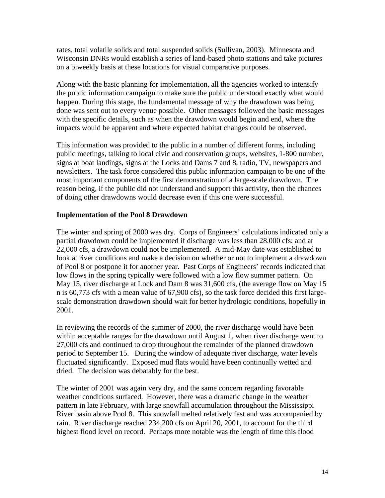rates, total volatile solids and total suspended solids (Sullivan, 2003). Minnesota and Wisconsin DNRs would establish a series of land-based photo stations and take pictures on a biweekly basis at these locations for visual comparative purposes.

Along with the basic planning for implementation, all the agencies worked to intensify the public information campaign to make sure the public understood exactly what would happen. During this stage, the fundamental message of why the drawdown was being done was sent out to every venue possible. Other messages followed the basic messages with the specific details, such as when the drawdown would begin and end, where the impacts would be apparent and where expected habitat changes could be observed.

This information was provided to the public in a number of different forms, including public meetings, talking to local civic and conservation groups, websites, 1-800 number, signs at boat landings, signs at the Locks and Dams 7 and 8, radio, TV, newspapers and newsletters. The task force considered this public information campaign to be one of the most important components of the first demonstration of a large-scale drawdown. The reason being, if the public did not understand and support this activity, then the chances of doing other drawdowns would decrease even if this one were successful.

# **Implementation of the Pool 8 Drawdown**

The winter and spring of 2000 was dry. Corps of Engineers' calculations indicated only a partial drawdown could be implemented if discharge was less than 28,000 cfs; and at 22,000 cfs, a drawdown could not be implemented. A mid-May date was established to look at river conditions and make a decision on whether or not to implement a drawdown of Pool 8 or postpone it for another year. Past Corps of Engineers' records indicated that low flows in the spring typically were followed with a low flow summer pattern. On May 15, river discharge at Lock and Dam 8 was 31,600 cfs, (the average flow on May 15 n is 60,773 cfs with a mean value of 67,900 cfs), so the task force decided this first largescale demonstration drawdown should wait for better hydrologic conditions, hopefully in 2001.

In reviewing the records of the summer of 2000, the river discharge would have been within acceptable ranges for the drawdown until August 1, when river discharge went to 27,000 cfs and continued to drop throughout the remainder of the planned drawdown period to September 15. During the window of adequate river discharge, water levels fluctuated significantly. Exposed mud flats would have been continually wetted and dried. The decision was debatably for the best.

The winter of 2001 was again very dry, and the same concern regarding favorable weather conditions surfaced. However, there was a dramatic change in the weather pattern in late February, with large snowfall accumulation throughout the Mississippi River basin above Pool 8. This snowfall melted relatively fast and was accompanied by rain. River discharge reached 234,200 cfs on April 20, 2001, to account for the third highest flood level on record. Perhaps more notable was the length of time this flood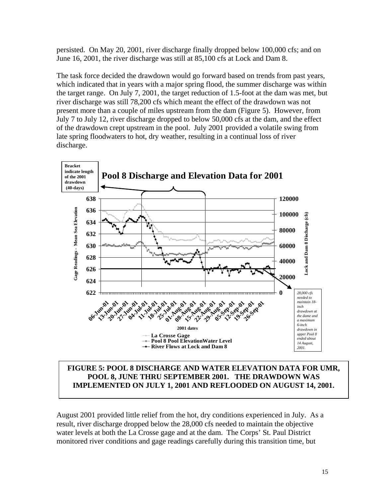persisted. On May 20, 2001, river discharge finally dropped below 100,000 cfs; and on June 16, 2001, the river discharge was still at 85,100 cfs at Lock and Dam 8.

The task force decided the drawdown would go forward based on trends from past years, which indicated that in years with a major spring flood, the summer discharge was within the target range. On July 7, 2001, the target reduction of 1.5-foot at the dam was met, but river discharge was still 78,200 cfs which meant the effect of the drawdown was not present more than a couple of miles upstream from the dam (Figure 5). However, from July 7 to July 12, river discharge dropped to below 50,000 cfs at the dam, and the effect of the drawdown crept upstream in the pool. July 2001 provided a volatile swing from late spring floodwaters to hot, dry weather, resulting in a continual loss of river discharge.



# **FIGURE 5: POOL 8 DISCHARGE AND WATER ELEVATION DATA FOR UMR, POOL 8, JUNE THRU SEPTEMBER 2001. THE DRAWDOWN WAS IMPLEMENTED ON JULY 1, 2001 AND REFLOODED ON AUGUST 14, 2001.**

August 2001 provided little relief from the hot, dry conditions experienced in July. As a result, river discharge dropped below the 28,000 cfs needed to maintain the objective water levels at both the La Crosse gage and at the dam. The Corps' St. Paul District monitored river conditions and gage readings carefully during this transition time, but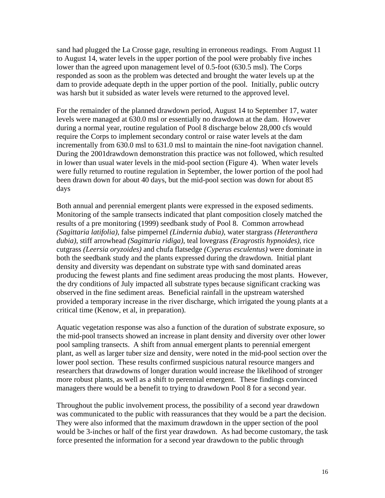sand had plugged the La Crosse gage, resulting in erroneous readings. From August 11 to August 14, water levels in the upper portion of the pool were probably five inches lower than the agreed upon management level of 0.5-foot (630.5 msl). The Corps responded as soon as the problem was detected and brought the water levels up at the dam to provide adequate depth in the upper portion of the pool. Initially, public outcry was harsh but it subsided as water levels were returned to the approved level.

For the remainder of the planned drawdown period, August 14 to September 17, water levels were managed at 630.0 msl or essentially no drawdown at the dam. However during a normal year, routine regulation of Pool 8 discharge below 28,000 cfs would require the Corps to implement secondary control or raise water levels at the dam incrementally from 630.0 msl to 631.0 msl to maintain the nine-foot navigation channel. During the 2001drawdown demonstration this practice was not followed, which resulted in lower than usual water levels in the mid-pool section (Figure 4). When water levels were fully returned to routine regulation in September, the lower portion of the pool had been drawn down for about 40 days, but the mid-pool section was down for about 85 days

Both annual and perennial emergent plants were expressed in the exposed sediments. Monitoring of the sample transects indicated that plant composition closely matched the results of a pre monitoring (1999) seedbank study of Pool 8. Common arrowhead *(Sagittaria latifolia),* false pimpernel *(Lindernia dubia)*, water stargrass *(Heteranthera dubia)*, stiff arrowhead *(Sagittaria ridiga)*, teal lovegrass *(Eragrostis hypnoides)*, rice cutgrass *(Leersia oryzoides)* and chufa flatsedge *(Cyperus esculentus)* were dominate in both the seedbank study and the plants expressed during the drawdown. Initial plant density and diversity was dependant on substrate type with sand dominated areas producing the fewest plants and fine sediment areas producing the most plants. However, the dry conditions of July impacted all substrate types because significant cracking was observed in the fine sediment areas. Beneficial rainfall in the upstream watershed provided a temporary increase in the river discharge, which irrigated the young plants at a critical time (Kenow, et al, in preparation).

Aquatic vegetation response was also a function of the duration of substrate exposure, so the mid-pool transects showed an increase in plant density and diversity over other lower pool sampling transects. A shift from annual emergent plants to perennial emergent plant, as well as larger tuber size and density, were noted in the mid-pool section over the lower pool section. These results confirmed suspicious natural resource mangers and researchers that drawdowns of longer duration would increase the likelihood of stronger more robust plants, as well as a shift to perennial emergent. These findings convinced managers there would be a benefit to trying to drawdown Pool 8 for a second year.

Throughout the public involvement process, the possibility of a second year drawdown was communicated to the public with reassurances that they would be a part the decision. They were also informed that the maximum drawdown in the upper section of the pool would be 3-inches or half of the first year drawdown. As had become customary, the task force presented the information for a second year drawdown to the public through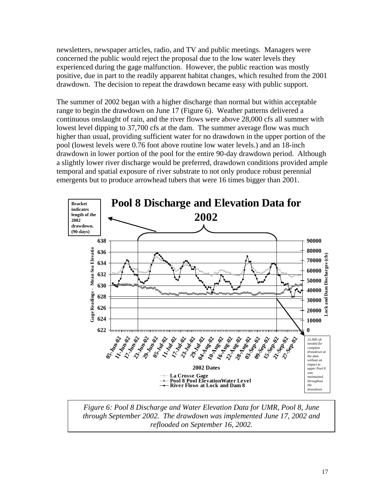newsletters, newspaper articles, radio, and TV and public meetings. Managers were concerned the public would reject the proposal due to the low water levels they experienced during the gage malfunction. However, the public reaction was mostly positive, due in part to the readily apparent habitat changes, which resulted from the 2001 drawdown. The decision to repeat the drawdown became easy with public support.

The summer of 2002 began with a higher discharge than normal but within acceptable range to begin the drawdown on June 17 (Figure 6). Weather patterns delivered a continuous onslaught of rain, and the river flows were above 28,000 cfs all summer with lowest level dipping to 37,700 cfs at the dam. The summer average flow was much higher than usual, providing sufficient water for no drawdown in the upper portion of the pool (lowest levels were 0.76 foot above routine low water levels.) and an 18-inch drawdown in lower portion of the pool for the entire 90-day drawdown period. Although a slightly lower river discharge would be preferred, drawdown conditions provided ample temporal and spatial exposure of river substrate to not only produce robust perennial emergents but to produce arrowhead tubers that were 16 times bigger than 2001.



*Figure 6: Pool 8 Discharge and Water Elevation Data for UMR, Pool 8, June through September 2002. The drawdown was implemented June 17, 2002 and reflooded on September 16, 2002.*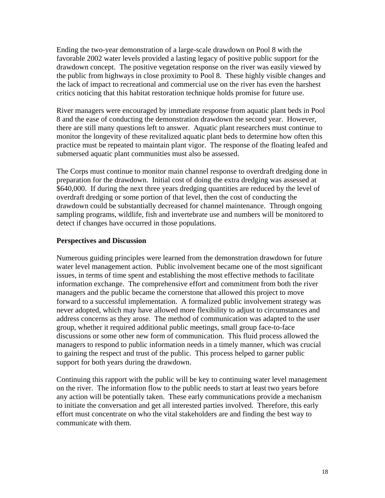Ending the two-year demonstration of a large-scale drawdown on Pool 8 with the favorable 2002 water levels provided a lasting legacy of positive public support for the drawdown concept. The positive vegetation response on the river was easily viewed by the public from highways in close proximity to Pool 8. These highly visible changes and the lack of impact to recreational and commercial use on the river has even the harshest critics noticing that this habitat restoration technique holds promise for future use.

River managers were encouraged by immediate response from aquatic plant beds in Pool 8 and the ease of conducting the demonstration drawdown the second year. However, there are still many questions left to answer. Aquatic plant researchers must continue to monitor the longevity of these revitalized aquatic plant beds to determine how often this practice must be repeated to maintain plant vigor. The response of the floating leafed and submersed aquatic plant communities must also be assessed.

The Corps must continue to monitor main channel response to overdraft dredging done in preparation for the drawdown. Initial cost of doing the extra dredging was assessed at \$640,000. If during the next three years dredging quantities are reduced by the level of overdraft dredging or some portion of that level, then the cost of conducting the drawdown could be substantially decreased for channel maintenance. Through ongoing sampling programs, wildlife, fish and invertebrate use and numbers will be monitored to detect if changes have occurred in those populations.

#### **Perspectives and Discussion**

Numerous guiding principles were learned from the demonstration drawdown for future water level management action. Public involvement became one of the most significant issues, in terms of time spent and establishing the most effective methods to facilitate information exchange. The comprehensive effort and commitment from both the river managers and the public became the cornerstone that allowed this project to move forward to a successful implementation. A formalized public involvement strategy was never adopted, which may have allowed more flexibility to adjust to circumstances and address concerns as they arose. The method of communication was adapted to the user group, whether it required additional public meetings, small group face-to-face discussions or some other new form of communication. This fluid process allowed the managers to respond to public information needs in a timely manner, which was crucial to gaining the respect and trust of the public. This process helped to garner public support for both years during the drawdown.

Continuing this rapport with the public will be key to continuing water level management on the river. The information flow to the public needs to start at least two years before any action will be potentially taken. These early communications provide a mechanism to initiate the conversation and get all interested parties involved. Therefore, this early effort must concentrate on who the vital stakeholders are and finding the best way to communicate with them.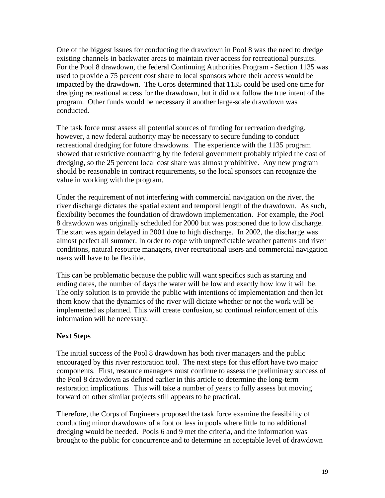One of the biggest issues for conducting the drawdown in Pool 8 was the need to dredge existing channels in backwater areas to maintain river access for recreational pursuits. For the Pool 8 drawdown, the federal Continuing Authorities Program - Section 1135 was used to provide a 75 percent cost share to local sponsors where their access would be impacted by the drawdown. The Corps determined that 1135 could be used one time for dredging recreational access for the drawdown, but it did not follow the true intent of the program. Other funds would be necessary if another large-scale drawdown was conducted.

The task force must assess all potential sources of funding for recreation dredging, however, a new federal authority may be necessary to secure funding to conduct recreational dredging for future drawdowns. The experience with the 1135 program showed that restrictive contracting by the federal government probably tripled the cost of dredging, so the 25 percent local cost share was almost prohibitive. Any new program should be reasonable in contract requirements, so the local sponsors can recognize the value in working with the program.

Under the requirement of not interfering with commercial navigation on the river, the river discharge dictates the spatial extent and temporal length of the drawdown. As such, flexibility becomes the foundation of drawdown implementation. For example, the Pool 8 drawdown was originally scheduled for 2000 but was postponed due to low discharge. The start was again delayed in 2001 due to high discharge. In 2002, the discharge was almost perfect all summer. In order to cope with unpredictable weather patterns and river conditions, natural resource managers, river recreational users and commercial navigation users will have to be flexible.

This can be problematic because the public will want specifics such as starting and ending dates, the number of days the water will be low and exactly how low it will be. The only solution is to provide the public with intentions of implementation and then let them know that the dynamics of the river will dictate whether or not the work will be implemented as planned. This will create confusion, so continual reinforcement of this information will be necessary.

# **Next Steps**

The initial success of the Pool 8 drawdown has both river managers and the public encouraged by this river restoration tool. The next steps for this effort have two major components. First, resource managers must continue to assess the preliminary success of the Pool 8 drawdown as defined earlier in this article to determine the long-term restoration implications. This will take a number of years to fully assess but moving forward on other similar projects still appears to be practical.

Therefore, the Corps of Engineers proposed the task force examine the feasibility of conducting minor drawdowns of a foot or less in pools where little to no additional dredging would be needed. Pools 6 and 9 met the criteria, and the information was brought to the public for concurrence and to determine an acceptable level of drawdown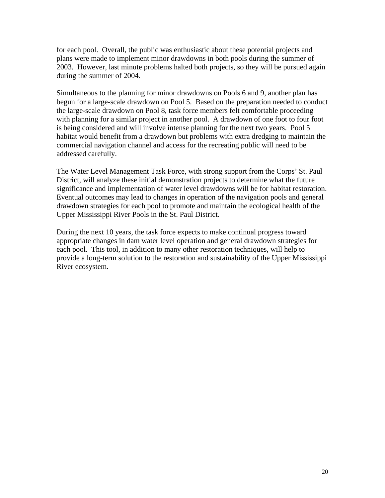for each pool. Overall, the public was enthusiastic about these potential projects and plans were made to implement minor drawdowns in both pools during the summer of 2003. However, last minute problems halted both projects, so they will be pursued again during the summer of 2004.

Simultaneous to the planning for minor drawdowns on Pools 6 and 9, another plan has begun for a large-scale drawdown on Pool 5. Based on the preparation needed to conduct the large-scale drawdown on Pool 8, task force members felt comfortable proceeding with planning for a similar project in another pool. A drawdown of one foot to four foot is being considered and will involve intense planning for the next two years. Pool 5 habitat would benefit from a drawdown but problems with extra dredging to maintain the commercial navigation channel and access for the recreating public will need to be addressed carefully.

The Water Level Management Task Force, with strong support from the Corps' St. Paul District, will analyze these initial demonstration projects to determine what the future significance and implementation of water level drawdowns will be for habitat restoration. Eventual outcomes may lead to changes in operation of the navigation pools and general drawdown strategies for each pool to promote and maintain the ecological health of the Upper Mississippi River Pools in the St. Paul District.

During the next 10 years, the task force expects to make continual progress toward appropriate changes in dam water level operation and general drawdown strategies for each pool. This tool, in addition to many other restoration techniques, will help to provide a long-term solution to the restoration and sustainability of the Upper Mississippi River ecosystem.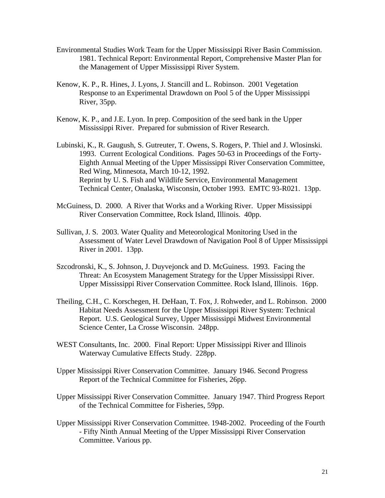- Environmental Studies Work Team for the Upper Mississippi River Basin Commission. 1981. Technical Report: Environmental Report, Comprehensive Master Plan for the Management of Upper Mississippi River System.
- Kenow, K. P., R. Hines, J. Lyons, J. Stancill and L. Robinson. 2001 Vegetation Response to an Experimental Drawdown on Pool 5 of the Upper Mississippi River, 35pp.
- Kenow, K. P., and J.E. Lyon. In prep. Composition of the seed bank in the Upper Mississippi River. Prepared for submission of River Research.
- Lubinski, K., R. Gaugush, S. Gutreuter, T. Owens, S. Rogers, P. Thiel and J. Wlosinski. 1993. Current Ecological Conditions. Pages 50-63 in Proceedings of the Forty-Eighth Annual Meeting of the Upper Mississippi River Conservation Committee, Red Wing, Minnesota, March 10-12, 1992. Reprint by U. S. Fish and Wildlife Service, Environmental Management Technical Center, Onalaska, Wisconsin, October 1993. EMTC 93-R021. 13pp.
- McGuiness, D. 2000. A River that Works and a Working River. Upper Mississippi River Conservation Committee, Rock Island, Illinois. 40pp.
- Sullivan, J. S. 2003. Water Quality and Meteorological Monitoring Used in the Assessment of Water Level Drawdown of Navigation Pool 8 of Upper Mississippi River in 2001. 13pp.
- Szcodronski, K., S. Johnson, J. Duyvejonck and D. McGuiness. 1993. Facing the Threat: An Ecosystem Management Strategy for the Upper Mississippi River. Upper Mississippi River Conservation Committee. Rock Island, Illinois. 16pp.
- Theiling, C.H., C. Korschegen, H. DeHaan, T. Fox, J. Rohweder, and L. Robinson. 2000 Habitat Needs Assessment for the Upper Mississippi River System: Technical Report. U.S. Geological Survey, Upper Mississippi Midwest Environmental Science Center, La Crosse Wisconsin. 248pp.
- WEST Consultants, Inc. 2000. Final Report: Upper Mississippi River and Illinois Waterway Cumulative Effects Study. 228pp.
- Upper Mississippi River Conservation Committee. January 1946. Second Progress Report of the Technical Committee for Fisheries, 26pp.
- Upper Mississippi River Conservation Committee. January 1947. Third Progress Report of the Technical Committee for Fisheries, 59pp.
- Upper Mississippi River Conservation Committee. 1948-2002. Proceeding of the Fourth - Fifty Ninth Annual Meeting of the Upper Mississippi River Conservation Committee. Various pp.